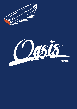

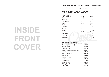# **INSIDE FRONT COVER**

## *Oasis Restaurant and Bar, Preston, Weymouth*

*www.cafeoasis.co.uk info@cafeoasis.co.uk 01305 833054*

# *OASIS DRINKS/SNACKS*

| <b>HOT DRINKS</b>    | Large | <b>Small</b>    |
|----------------------|-------|-----------------|
| Tea                  | £1.60 |                 |
| Americano            | £2.55 | £1.80           |
| Cappuccino           | £3.20 | £2.15           |
| Latte                | £3.20 | £2.15           |
| <b>Flat White</b>    |       | £2.60           |
| Espresso             | £2.15 | £1.60           |
| Mocha                | £3.90 |                 |
| Babycino             |       | 95p             |
| <b>Hot Chocolate</b> | £3.40 | £2.20           |
| Macchiato            |       | £2.50           |
| Cortado              |       | £2.50           |
| Extra Shot           |       | 60 <sub>p</sub> |
|                      |       |                 |

#### **CAKES AND SNACKS** (subject to availability)

| <b>Brownie (Gluten Free)</b>  | £2.50 |
|-------------------------------|-------|
| Banana Bread                  | £2.50 |
| Lemon Drizzle                 | £2.50 |
| Victoria Sponge (Gluten Free) | £3.00 |
| Teacake                       | £1.80 |
| Pain au Chocolat              | f1.40 |
| Natural Bar                   | £1.70 |
| <b>Moores Biscuits</b>        | £1.00 |
| Oreo                          | £1.80 |
| Confectionary                 | 95p   |
| <b>Wafer Biscuit</b>          | £1.80 |
| Crisps/Cheddars               | f1.00 |
| Free From                     | £2.20 |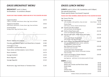# *OASIS BREAKFAST MENU*

**BREAKFAST** (until 11:30am) Set Breakfasts - no variations allowed

#### *PLEASE GIVE TABLE NUMBER, ORDER AND PAY AT THE COUNTER OR KIOSK*

| English Breakfast<br>2 Bacon, 2 Sausages, Hash Browns, Beans, Egg, Toast and Butter  | £9.70 |
|--------------------------------------------------------------------------------------|-------|
| Vegetarian Breakfast<br>Hash Browns, Mushrooms, Tomato, Beans, Egg, Toast and Butter | £9.50 |
| <b>Small Breakfast</b><br>Sausage, Bacon, Egg, Hash Browns, Beans                    | £6.90 |

-----------------------------------------------------------------------

| Muesli, Yoghurt and Compote                            | £4.90 |
|--------------------------------------------------------|-------|
| Pancakes with Natural Yoghurt and Mixed Berry Compote  | £5.80 |
| Fried Eggs on Toast<br>(scambled or poached 80p extra) | £4.80 |
| Toast, Butter and Marmalade or Jam (2 Slices)          | f2.10 |
| Bacon Sandwich                                         | £4.70 |
| Sausage Sandwich                                       | £4.30 |
| Bacon Baguette                                         | £5.60 |
| Sausage Baguette                                       | £5.20 |
|                                                        |       |

Mushrooms, Egg, Hash Brown or Tomatoes Extra <br>**E1.65** 

# *OASIS LUNCH MENU*

**LUNCH** (until 11:30 to 2:30, Sandwiches until 3:00pm) See specials board also Please specify Gluten Free bread if required

#### *PLEASE GIVE TABLE NUMBER, ORDER AND PAY AT THE COUNTER OR KIOSK*

|                                                                                                                                          |                                                                                                                                                                                             | £6.00                                                                               |
|------------------------------------------------------------------------------------------------------------------------------------------|---------------------------------------------------------------------------------------------------------------------------------------------------------------------------------------------|-------------------------------------------------------------------------------------|
|                                                                                                                                          |                                                                                                                                                                                             | £12.00                                                                              |
| with red pepper, relish, gherkins, chips and salad                                                                                       |                                                                                                                                                                                             | $+£1.00$                                                                            |
| Penne Pasta<br>with Prawns, Chorizo, Tomato and Basil Sauce                                                                              |                                                                                                                                                                                             | £14.50                                                                              |
| with Garlic Butter and half Baguette                                                                                                     |                                                                                                                                                                                             | £14.00                                                                              |
| Lemon and Chilli Butter and half Baguette                                                                                                |                                                                                                                                                                                             | £11.50                                                                              |
| Mussels with Garlic, White Wine and Cream<br>with Chips                                                                                  |                                                                                                                                                                                             | £15.50                                                                              |
| Honey and Maple Glazed Ham<br>with two free-range Eggs and Chips                                                                         |                                                                                                                                                                                             | £12.80                                                                              |
| North African Fish Stew with half Baguette<br>(fish stew with Moroccan spices, tomato, vegetables,<br>mussels, prawns, scallops and cod) |                                                                                                                                                                                             | £16.00                                                                              |
| Beer Battered Fish and Chips<br>with tartare sauce and salad                                                                             |                                                                                                                                                                                             | £15.00                                                                              |
| Homemade Oasis Cheeseburger<br>with Red Pepper Relish, Gherkin, Homemade Coleslaw,<br>Chips and Salad                                    |                                                                                                                                                                                             | £14.80                                                                              |
| with Greek salad and Chilli Jam                                                                                                          |                                                                                                                                                                                             | £14.00                                                                              |
|                                                                                                                                          |                                                                                                                                                                                             |                                                                                     |
|                                                                                                                                          |                                                                                                                                                                                             |                                                                                     |
| <b>Mixed Olives</b><br>Mixed Leaf, Tomato and Red Onion Salad<br><b>Greek Salad</b><br>Chips<br>Cheesy Chips<br><b>Beetroot Coleslaw</b> |                                                                                                                                                                                             | £4.50<br>£5.00<br>£6.00<br>£3.70<br>£4.80<br>£3.50                                  |
|                                                                                                                                          | (vg) Soup of the Day<br>(vg) Plant Burger<br>(gf) Seared Lyme Bay Scallops<br>(gf) Shell on King Prawns with<br>(gf)<br>(gf)<br>(gf) Lemon and Oregano Chicken Skewers<br>SIDES (until 3pm) | <b>Extra Cheese</b><br>(vg) Vegetarian (gf) Gluten Free but please specify GF bread |

Children's Meals and Sandwiches overleaf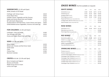## **SANDWICHES** (11:30 until 3pm)

white, brown or GF bread

| <b>Fishfinger with Tartare Sauce</b>                    | £8.30 |
|---------------------------------------------------------|-------|
| Prawn Marie-Rose                                        | £9.50 |
| Cheddar Cheese, Vegetable and Ale Chutney               | £6.30 |
| Maple and Honey Glazed Ham and Cheddar                  | £7.50 |
| <b>BLT with Garlic Mayonnaise</b>                       | £7.50 |
| Smoked Salmon with Red Onion, Cream Cheese and Capers   | £8.00 |
| Grilled Mediterranean Vegetables, hummus and salad (vg) | £8.00 |

### **FOR CHILDREN** (11:30 until 3pm)

| Fishfingers, Chips and Salad         | £4.80 |
|--------------------------------------|-------|
| Two Sausages and Chips               | £4.50 |
| Honey and Maple Glazed Ham and Chips | £4.50 |

## **SIDES** (11:30 until 3pm)

| <b>Mixed Olives</b>                    | £4.50 |
|----------------------------------------|-------|
| Mixed Leaf, Tomato and Red Onion Salad | £5.00 |
| Greek Salad                            | £6.00 |
| Chips                                  | £3.70 |
| Cheesy Chips                           | £4.80 |
| <b>Beetroot Coleslaw</b>               | £3.50 |

#### **CREPES** All £5.80 (11:30 until 3pm)

Berry Compote and Yoghurt Banana and Nutella Maple Syrup and Ice Cream Lemon and Sugar

# *OASIS WINES* (Full list available on request)

| <b>WHITE WINES</b>                                        | 125cl    | 175cl   | 250cl   | <b>Bottle</b> |
|-----------------------------------------------------------|----------|---------|---------|---------------|
| Vermentino (France)                                       | £3.60    | £5.00   | £6.75   | £17.50        |
| Chardonnay (Italy)                                        | £3.70    | £5.20   | £6.95   | £18.50        |
| Sauvignon Blanc (France)                                  | £4.00    | £5.60   | £7.50   | £20.50        |
| Pinot Grigio (New Zealand)                                | £4.30    | £5.90   | £7.80   | £22.50        |
| Picpoul de Pinet (Herault, France) Bottle Only            | -------  |         | ------- | £21.00        |
| Furleigh Estate, Bacchus Fume (Salway Ash, Dorset)        | -------  | .       | ------- | £24.50        |
| Soave Pieropan (Veneto, Italy) Bottle Only                |          |         |         | £25.00        |
| <b>ROSE WINES</b>                                         | 125cl    | 175cl   | 250cl   | <b>Bottle</b> |
| Syrah Rose (France)                                       | £3.60    | £5.00   | £6.75   | £17.50        |
| Rioja Rose (Spain) Bottle Only                            | -------  | ------- | ------- | £19.00        |
| Pinot Grigio Rose (Italy) Bottle Only                     |          |         | ------- | £19.80        |
| <b>RED WINES</b>                                          | 125cl    | 175cl   | 250cl   | <b>Bottle</b> |
| Merlot/Grenache (France)                                  | £3.60    | £5.00   | £6.75   | £17.50        |
| Chianti (Tuscany, Italy) Bottle Only                      |          |         | ------- | £19.00        |
| Rioja (Spain) Bottle Only                                 | .        |         | ------- | £19.50        |
| Malbec (Argentina) Bottle Only                            |          |         | ------- | £20.50        |
| Pinot Noir (Australia) Bottle Only                        | .        |         | ------- | £22.50        |
| <b>SPARKLING WINES Bottle Only</b>                        | 125cl    | 175cl   | 250cl   | <b>Bottle</b> |
| Prosecco (Italy) 20 Cl                                    | -------  | ------- | ------- | £ 8.50        |
| Prosecco Superiore (Italy) 75 Cl                          | ------   |         | ------- | £24.50        |
| Crement de Bourgogne JCB No 21 (Boisset), France) ------- |          |         | ------- | £29.00        |
| Champagne Piper-Heidsieck (France) 20 Cl                  | -------  | ------- | ------- | £15.00        |
| Champagne Piper-Heidsieck (France) 37.5 CI                | -------  | ------- | ------- | £24.00        |
| Furleigh Estate Classic Cuvee (Dorset) 37.5 Cl            | -------- |         | ------- | £20.00        |
| Furleigh Estate Classic Cuvee (Dorset) 75 Cl              | -------  | ------- | ------- | £36.50        |
| Champagne Piper-Heidseck (France) 75 Cl                   | -------  | ------- | ------- | £45.00        |